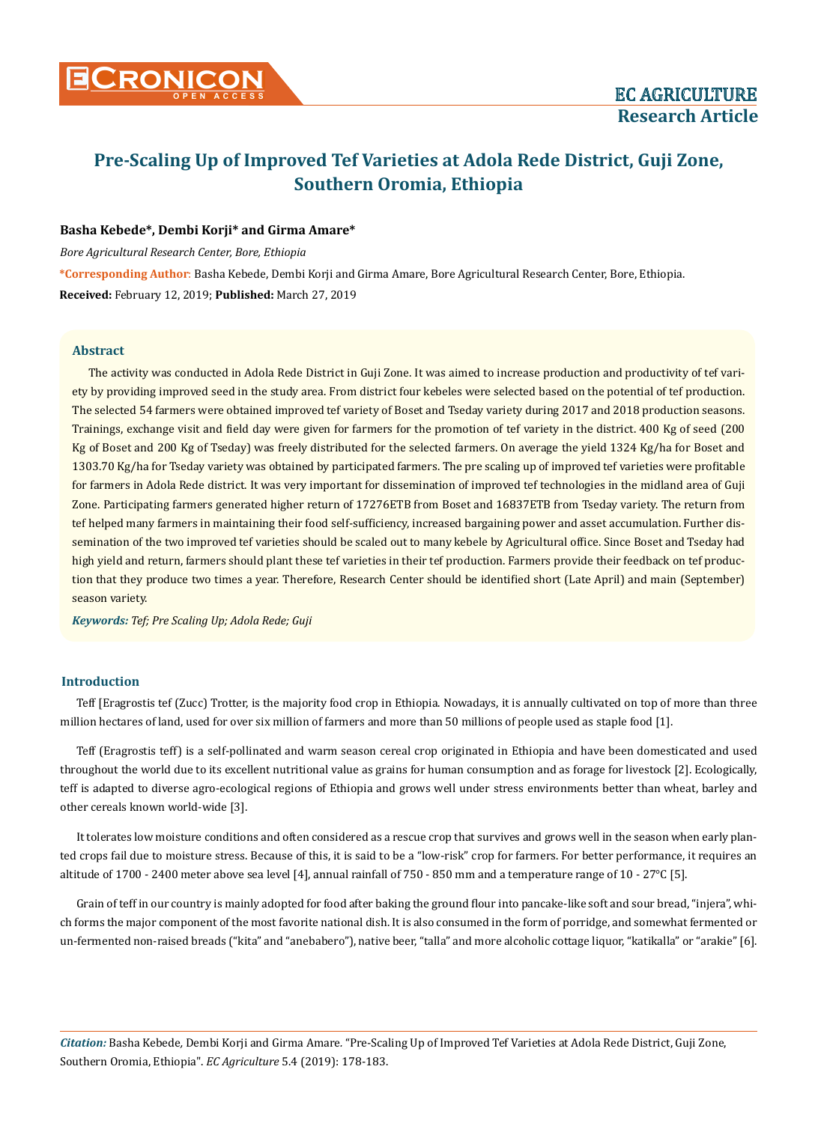# **Pre-Scaling Up of Improved Tef Varieties at Adola Rede District, Guji Zone, Southern Oromia, Ethiopia**

# **Basha Kebede\*, Dembi Korji\* and Girma Amare\***

*Bore Agricultural Research Center, Bore, Ethiopia* 

**\*Corresponding Author**: Basha Kebede, Dembi Korji and Girma Amare, Bore Agricultural Research Center, Bore, Ethiopia. **Received:** February 12, 2019; **Published:** March 27, 2019

# **Abstract**

The activity was conducted in Adola Rede District in Guji Zone. It was aimed to increase production and productivity of tef variety by providing improved seed in the study area. From district four kebeles were selected based on the potential of tef production. The selected 54 farmers were obtained improved tef variety of Boset and Tseday variety during 2017 and 2018 production seasons. Trainings, exchange visit and field day were given for farmers for the promotion of tef variety in the district. 400 Kg of seed (200 Kg of Boset and 200 Kg of Tseday) was freely distributed for the selected farmers. On average the yield 1324 Kg/ha for Boset and 1303.70 Kg/ha for Tseday variety was obtained by participated farmers. The pre scaling up of improved tef varieties were profitable for farmers in Adola Rede district. It was very important for dissemination of improved tef technologies in the midland area of Guji Zone. Participating farmers generated higher return of 17276ETB from Boset and 16837ETB from Tseday variety. The return from tef helped many farmers in maintaining their food self-sufficiency, increased bargaining power and asset accumulation. Further dissemination of the two improved tef varieties should be scaled out to many kebele by Agricultural office. Since Boset and Tseday had high yield and return, farmers should plant these tef varieties in their tef production. Farmers provide their feedback on tef production that they produce two times a year. Therefore, Research Center should be identified short (Late April) and main (September) season variety.

*Keywords: Tef; Pre Scaling Up; Adola Rede; Guji*

# **Introduction**

Teff [Eragrostis tef (Zucc) Trotter, is the majority food crop in Ethiopia. Nowadays, it is annually cultivated on top of more than three million hectares of land, used for over six million of farmers and more than 50 millions of people used as staple food [1].

Teff (Eragrostis teff) is a self-pollinated and warm season cereal crop originated in Ethiopia and have been domesticated and used throughout the world due to its excellent nutritional value as grains for human consumption and as forage for livestock [2]. Ecologically, teff is adapted to diverse agro-ecological regions of Ethiopia and grows well under stress environments better than wheat, barley and other cereals known world-wide [3].

It tolerates low moisture conditions and often considered as a rescue crop that survives and grows well in the season when early planted crops fail due to moisture stress. Because of this, it is said to be a "low-risk" crop for farmers. For better performance, it requires an altitude of 1700 - 2400 meter above sea level [4], annual rainfall of 750 - 850 mm and a temperature range of 10 - 27°C [5].

Grain of teff in our country is mainly adopted for food after baking the ground flour into pancake-like soft and sour bread, "injera", which forms the major component of the most favorite national dish. It is also consumed in the form of porridge, and somewhat fermented or un-fermented non-raised breads ("kita" and "anebabero"), native beer, "talla" and more alcoholic cottage liquor, "katikalla" or "arakie" [6].

*Citation:* Basha Kebede*,* Dembi Korji and Girma Amare*.* "Pre-Scaling Up of Improved Tef Varieties at Adola Rede District, Guji Zone, Southern Oromia, Ethiopia". *EC Agriculture* 5.4 (2019): 178-183.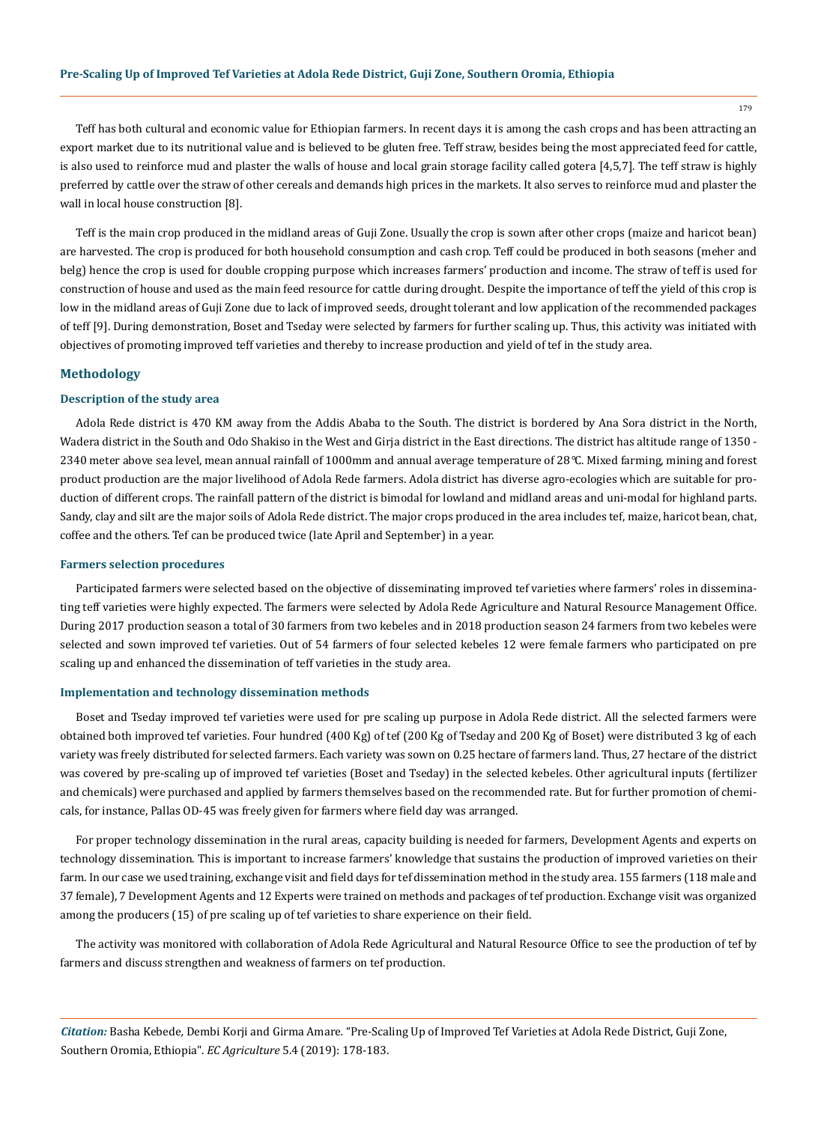179

Teff has both cultural and economic value for Ethiopian farmers. In recent days it is among the cash crops and has been attracting an export market due to its nutritional value and is believed to be gluten free. Teff straw, besides being the most appreciated feed for cattle, is also used to reinforce mud and plaster the walls of house and local grain storage facility called gotera [4,5,7]. The teff straw is highly preferred by cattle over the straw of other cereals and demands high prices in the markets. It also serves to reinforce mud and plaster the wall in local house construction [8].

Teff is the main crop produced in the midland areas of Guji Zone. Usually the crop is sown after other crops (maize and haricot bean) are harvested. The crop is produced for both household consumption and cash crop. Teff could be produced in both seasons (meher and belg) hence the crop is used for double cropping purpose which increases farmers' production and income. The straw of teff is used for construction of house and used as the main feed resource for cattle during drought. Despite the importance of teff the yield of this crop is low in the midland areas of Guji Zone due to lack of improved seeds, drought tolerant and low application of the recommended packages of teff [9]. During demonstration, Boset and Tseday were selected by farmers for further scaling up. Thus, this activity was initiated with objectives of promoting improved teff varieties and thereby to increase production and yield of tef in the study area.

## **Methodology**

# **Description of the study area**

Adola Rede district is 470 KM away from the Addis Ababa to the South. The district is bordered by Ana Sora district in the North, Wadera district in the South and Odo Shakiso in the West and Girja district in the East directions. The district has altitude range of 1350 - 2340 meter above sea level, mean annual rainfall of 1000mm and annual average temperature of 28*°*C. Mixed farming, mining and forest product production are the major livelihood of Adola Rede farmers. Adola district has diverse agro-ecologies which are suitable for production of different crops. The rainfall pattern of the district is bimodal for lowland and midland areas and uni-modal for highland parts. Sandy, clay and silt are the major soils of Adola Rede district. The major crops produced in the area includes tef, maize, haricot bean, chat, coffee and the others. Tef can be produced twice (late April and September) in a year.

#### **Farmers selection procedures**

Participated farmers were selected based on the objective of disseminating improved tef varieties where farmers' roles in disseminating teff varieties were highly expected. The farmers were selected by Adola Rede Agriculture and Natural Resource Management Office. During 2017 production season a total of 30 farmers from two kebeles and in 2018 production season 24 farmers from two kebeles were selected and sown improved tef varieties. Out of 54 farmers of four selected kebeles 12 were female farmers who participated on pre scaling up and enhanced the dissemination of teff varieties in the study area.

#### **Implementation and technology dissemination methods**

Boset and Tseday improved tef varieties were used for pre scaling up purpose in Adola Rede district. All the selected farmers were obtained both improved tef varieties. Four hundred (400 Kg) of tef (200 Kg of Tseday and 200 Kg of Boset) were distributed 3 kg of each variety was freely distributed for selected farmers. Each variety was sown on 0.25 hectare of farmers land. Thus, 27 hectare of the district was covered by pre-scaling up of improved tef varieties (Boset and Tseday) in the selected kebeles. Other agricultural inputs (fertilizer and chemicals) were purchased and applied by farmers themselves based on the recommended rate. But for further promotion of chemicals, for instance, Pallas OD-45 was freely given for farmers where field day was arranged.

For proper technology dissemination in the rural areas, capacity building is needed for farmers, Development Agents and experts on technology dissemination. This is important to increase farmers' knowledge that sustains the production of improved varieties on their farm. In our case we used training, exchange visit and field days for tef dissemination method in the study area. 155 farmers (118 male and 37 female), 7 Development Agents and 12 Experts were trained on methods and packages of tef production. Exchange visit was organized among the producers (15) of pre scaling up of tef varieties to share experience on their field.

The activity was monitored with collaboration of Adola Rede Agricultural and Natural Resource Office to see the production of tef by farmers and discuss strengthen and weakness of farmers on tef production.

*Citation:* Basha Kebede*,* Dembi Korji and Girma Amare*.* "Pre-Scaling Up of Improved Tef Varieties at Adola Rede District, Guji Zone, Southern Oromia, Ethiopia". *EC Agriculture* 5.4 (2019): 178-183.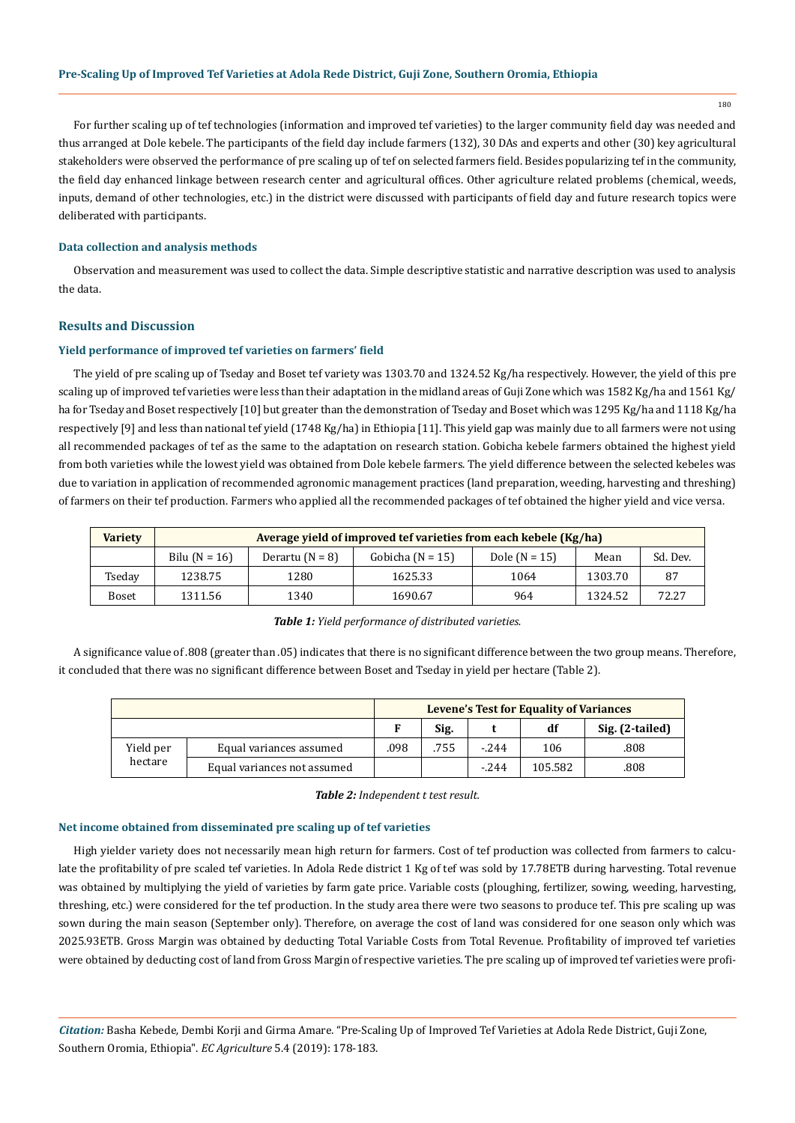180

For further scaling up of tef technologies (information and improved tef varieties) to the larger community field day was needed and thus arranged at Dole kebele. The participants of the field day include farmers (132), 30 DAs and experts and other (30) key agricultural stakeholders were observed the performance of pre scaling up of tef on selected farmers field. Besides popularizing tef in the community, the field day enhanced linkage between research center and agricultural offices. Other agriculture related problems (chemical, weeds, inputs, demand of other technologies, etc.) in the district were discussed with participants of field day and future research topics were deliberated with participants.

# **Data collection and analysis methods**

Observation and measurement was used to collect the data. Simple descriptive statistic and narrative description was used to analysis the data.

# **Results and Discussion**

#### **Yield performance of improved tef varieties on farmers' field**

The yield of pre scaling up of Tseday and Boset tef variety was 1303.70 and 1324.52 Kg/ha respectively. However, the yield of this pre scaling up of improved tef varieties were less than their adaptation in the midland areas of Guji Zone which was 1582 Kg/ha and 1561 Kg/ ha for Tseday and Boset respectively [10] but greater than the demonstration of Tseday and Boset which was 1295 Kg/ha and 1118 Kg/ha respectively [9] and less than national tef yield (1748 Kg/ha) in Ethiopia [11]. This yield gap was mainly due to all farmers were not using all recommended packages of tef as the same to the adaptation on research station. Gobicha kebele farmers obtained the highest yield from both varieties while the lowest yield was obtained from Dole kebele farmers. The yield difference between the selected kebeles was due to variation in application of recommended agronomic management practices (land preparation, weeding, harvesting and threshing) of farmers on their tef production. Farmers who applied all the recommended packages of tef obtained the higher yield and vice versa.

| <b>Variety</b> | Average yield of improved tef varieties from each kebele (Kg/ha) |                   |                      |                 |         |          |  |  |
|----------------|------------------------------------------------------------------|-------------------|----------------------|-----------------|---------|----------|--|--|
|                | Bilu $(N = 16)$                                                  | Derartu $(N = 8)$ | Gobicha ( $N = 15$ ) | Dole $(N = 15)$ | Mean    | Sd. Dev. |  |  |
| Tseday         | 1238.75                                                          | 1280              | 1625.33              | 1064            | 1303.70 | 87       |  |  |
| Boset          | 1311.56                                                          | 1340              | 1690.67              | 964             | 1324.52 | 72.27    |  |  |

#### *Table 1: Yield performance of distributed varieties.*

A significance value of .808 (greater than .05) indicates that there is no significant difference between the two group means. Therefore, it concluded that there was no significant difference between Boset and Tseday in yield per hectare (Table 2).

|           |                             | <b>Levene's Test for Equality of Variances</b> |      |        |         |                 |
|-----------|-----------------------------|------------------------------------------------|------|--------|---------|-----------------|
|           |                             |                                                | Sig. |        | df      | Sig. (2-tailed) |
| Yield per | Equal variances assumed     | .098                                           | .755 | $-244$ | 106     | .808            |
| hectare   | Equal variances not assumed |                                                |      | $-244$ | 105.582 | .808            |

*Table 2: Independent t test result.*

# **Net income obtained from disseminated pre scaling up of tef varieties**

High yielder variety does not necessarily mean high return for farmers. Cost of tef production was collected from farmers to calculate the profitability of pre scaled tef varieties. In Adola Rede district 1 Kg of tef was sold by 17.78ETB during harvesting. Total revenue was obtained by multiplying the yield of varieties by farm gate price. Variable costs (ploughing, fertilizer, sowing, weeding, harvesting, threshing, etc.) were considered for the tef production. In the study area there were two seasons to produce tef. This pre scaling up was sown during the main season (September only). Therefore, on average the cost of land was considered for one season only which was 2025.93ETB. Gross Margin was obtained by deducting Total Variable Costs from Total Revenue. Profitability of improved tef varieties were obtained by deducting cost of land from Gross Margin of respective varieties. The pre scaling up of improved tef varieties were profi-

*Citation:* Basha Kebede*,* Dembi Korji and Girma Amare*.* "Pre-Scaling Up of Improved Tef Varieties at Adola Rede District, Guji Zone, Southern Oromia, Ethiopia". *EC Agriculture* 5.4 (2019): 178-183.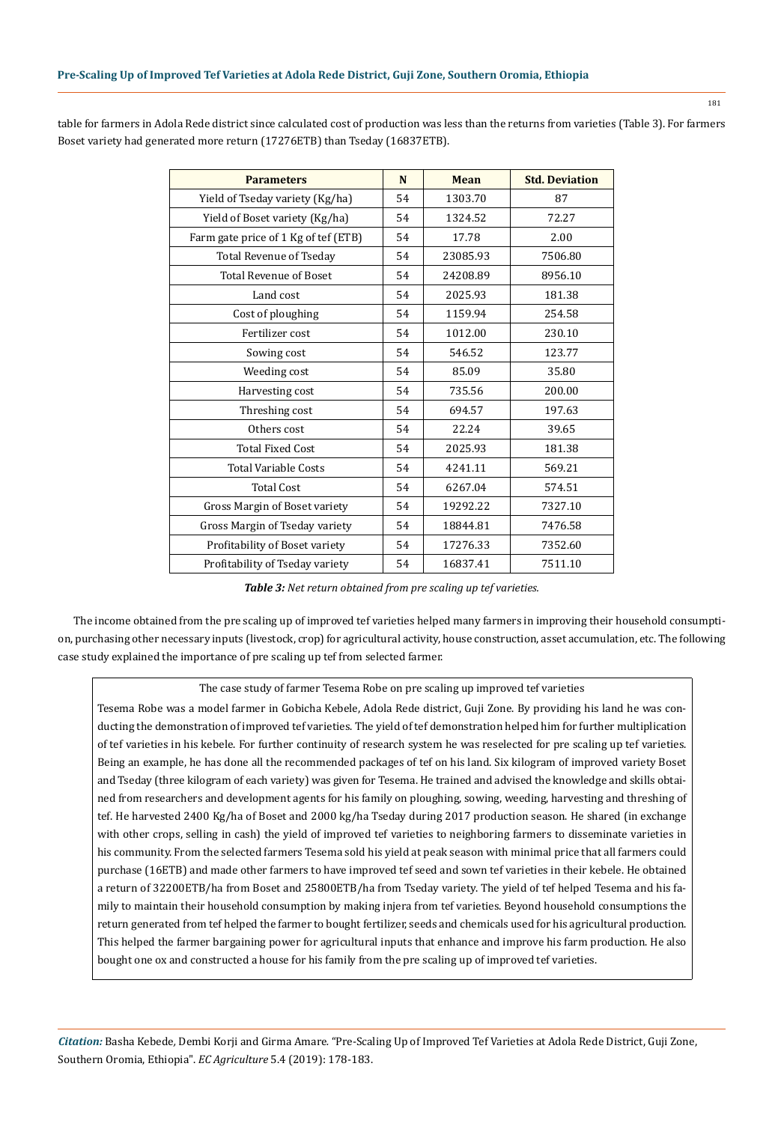| <b>Parameters</b>                    | N  | <b>Mean</b> | <b>Std. Deviation</b> |
|--------------------------------------|----|-------------|-----------------------|
| Yield of Tseday variety (Kg/ha)      | 54 | 1303.70     | 87                    |
| Yield of Boset variety (Kg/ha)       | 54 | 1324.52     | 72.27                 |
| Farm gate price of 1 Kg of tef (ETB) | 54 | 17.78       | 2.00                  |
| <b>Total Revenue of Tseday</b>       | 54 | 23085.93    | 7506.80               |
| <b>Total Revenue of Boset</b>        | 54 | 24208.89    | 8956.10               |
| Land cost                            | 54 | 2025.93     | 181.38                |
| Cost of ploughing                    | 54 | 1159.94     | 254.58                |
| Fertilizer cost                      | 54 | 1012.00     | 230.10                |
| Sowing cost                          | 54 | 546.52      | 123.77                |
| Weeding cost                         | 54 | 85.09       | 35.80                 |
| Harvesting cost                      | 54 | 735.56      | 200.00                |
| Threshing cost                       | 54 | 694.57      | 197.63                |
| Others cost                          | 54 | 22.24       | 39.65                 |
| <b>Total Fixed Cost</b>              | 54 | 2025.93     | 181.38                |
| <b>Total Variable Costs</b>          | 54 | 4241.11     | 569.21                |
| <b>Total Cost</b>                    | 54 | 6267.04     | 574.51                |
| Gross Margin of Boset variety        | 54 | 19292.22    | 7327.10               |
| Gross Margin of Tseday variety       | 54 | 18844.81    | 7476.58               |
| Profitability of Boset variety       | 54 | 17276.33    | 7352.60               |
| Profitability of Tseday variety      | 54 | 16837.41    | 7511.10               |

table for farmers in Adola Rede district since calculated cost of production was less than the returns from varieties (Table 3). For farmers Boset variety had generated more return (17276ETB) than Tseday (16837ETB).

*Table 3: Net return obtained from pre scaling up tef varieties.*

The income obtained from the pre scaling up of improved tef varieties helped many farmers in improving their household consumption, purchasing other necessary inputs (livestock, crop) for agricultural activity, house construction, asset accumulation, etc. The following case study explained the importance of pre scaling up tef from selected farmer.

# The case study of farmer Tesema Robe on pre scaling up improved tef varieties

Tesema Robe was a model farmer in Gobicha Kebele, Adola Rede district, Guji Zone. By providing his land he was conducting the demonstration of improved tef varieties. The yield of tef demonstration helped him for further multiplication of tef varieties in his kebele. For further continuity of research system he was reselected for pre scaling up tef varieties. Being an example, he has done all the recommended packages of tef on his land. Six kilogram of improved variety Boset and Tseday (three kilogram of each variety) was given for Tesema. He trained and advised the knowledge and skills obtained from researchers and development agents for his family on ploughing, sowing, weeding, harvesting and threshing of tef. He harvested 2400 Kg/ha of Boset and 2000 kg/ha Tseday during 2017 production season. He shared (in exchange with other crops, selling in cash) the yield of improved tef varieties to neighboring farmers to disseminate varieties in his community. From the selected farmers Tesema sold his yield at peak season with minimal price that all farmers could purchase (16ETB) and made other farmers to have improved tef seed and sown tef varieties in their kebele. He obtained a return of 32200ETB/ha from Boset and 25800ETB/ha from Tseday variety. The yield of tef helped Tesema and his family to maintain their household consumption by making injera from tef varieties. Beyond household consumptions the return generated from tef helped the farmer to bought fertilizer, seeds and chemicals used for his agricultural production. This helped the farmer bargaining power for agricultural inputs that enhance and improve his farm production. He also bought one ox and constructed a house for his family from the pre scaling up of improved tef varieties.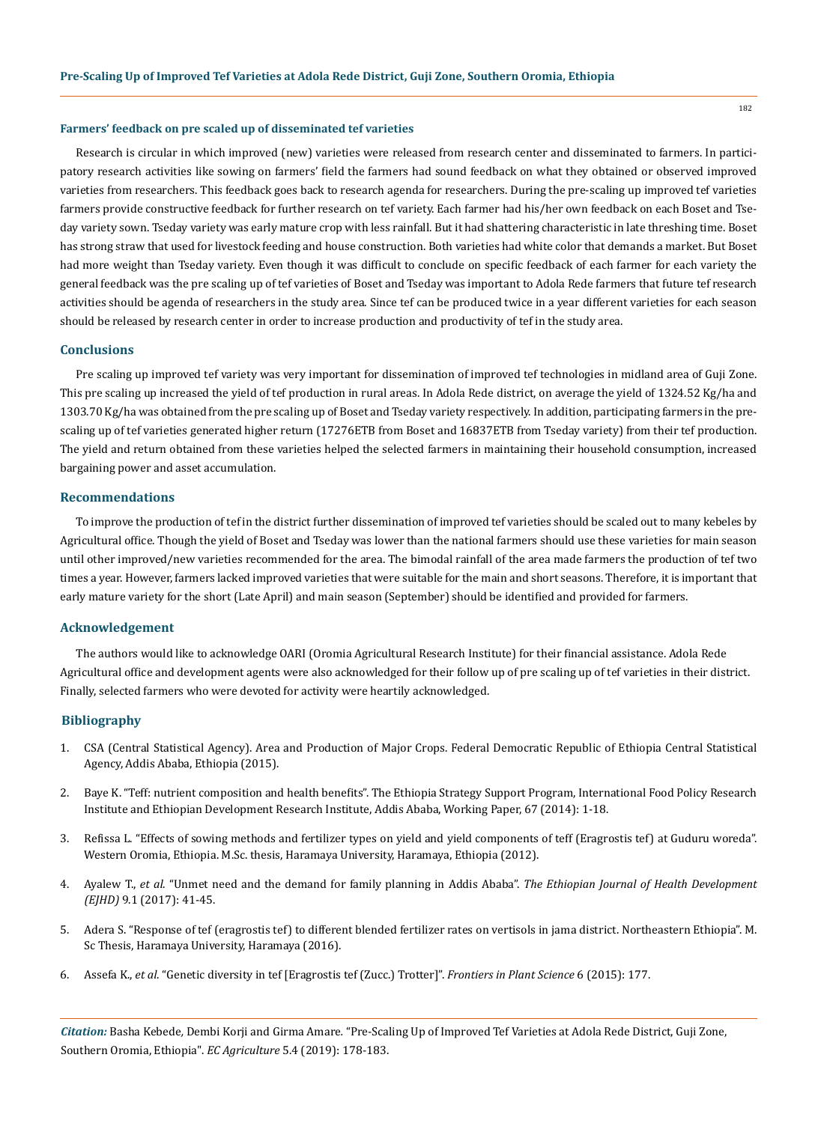## **Farmers' feedback on pre scaled up of disseminated tef varieties**

Research is circular in which improved (new) varieties were released from research center and disseminated to farmers. In participatory research activities like sowing on farmers' field the farmers had sound feedback on what they obtained or observed improved varieties from researchers. This feedback goes back to research agenda for researchers. During the pre-scaling up improved tef varieties farmers provide constructive feedback for further research on tef variety. Each farmer had his/her own feedback on each Boset and Tseday variety sown. Tseday variety was early mature crop with less rainfall. But it had shattering characteristic in late threshing time. Boset has strong straw that used for livestock feeding and house construction. Both varieties had white color that demands a market. But Boset had more weight than Tseday variety. Even though it was difficult to conclude on specific feedback of each farmer for each variety the general feedback was the pre scaling up of tef varieties of Boset and Tseday was important to Adola Rede farmers that future tef research activities should be agenda of researchers in the study area. Since tef can be produced twice in a year different varieties for each season should be released by research center in order to increase production and productivity of tef in the study area.

## **Conclusions**

Pre scaling up improved tef variety was very important for dissemination of improved tef technologies in midland area of Guji Zone. This pre scaling up increased the yield of tef production in rural areas. In Adola Rede district, on average the yield of 1324.52 Kg/ha and 1303.70 Kg/ha was obtained from the pre scaling up of Boset and Tseday variety respectively. In addition, participating farmers in the prescaling up of tef varieties generated higher return (17276ETB from Boset and 16837ETB from Tseday variety) from their tef production. The yield and return obtained from these varieties helped the selected farmers in maintaining their household consumption, increased bargaining power and asset accumulation.

## **Recommendations**

To improve the production of tef in the district further dissemination of improved tef varieties should be scaled out to many kebeles by Agricultural office. Though the yield of Boset and Tseday was lower than the national farmers should use these varieties for main season until other improved/new varieties recommended for the area. The bimodal rainfall of the area made farmers the production of tef two times a year. However, farmers lacked improved varieties that were suitable for the main and short seasons. Therefore, it is important that early mature variety for the short (Late April) and main season (September) should be identified and provided for farmers.

#### **Acknowledgement**

The authors would like to acknowledge OARI (Oromia Agricultural Research Institute) for their financial assistance. Adola Rede Agricultural office and development agents were also acknowledged for their follow up of pre scaling up of tef varieties in their district. Finally, selected farmers who were devoted for activity were heartily acknowledged.

#### **Bibliography**

- 1. CSA (Central Statistical Agency). Area and Production of Major Crops. Federal Democratic Republic of Ethiopia Central Statistical Agency, Addis Ababa, Ethiopia (2015).
- 2. [Baye K. "Teff: nutrient composition and health benefits". The Ethiopia Strategy Support Program, International Food Policy Research](https://www.researchgate.net/publication/266316373_Teff_Nutrient_Composition_and_Health_Benefits) [Institute and Ethiopian Development Research Institute, Addis Ababa, Working Paper, 67 \(2014\): 1-18.](https://www.researchgate.net/publication/266316373_Teff_Nutrient_Composition_and_Health_Benefits)
- 3. Refissa L. "Effects of sowing methods and fertilizer types on yield and yield components of teff (Eragrostis tef) at Guduru woreda". Western Oromia, Ethiopia. M.Sc. thesis, Haramaya University, Haramaya, Ethiopia (2012).
- 4. Ayalew T., *et al*[. "Unmet need and the demand for family planning in Addis Ababa".](https://www.ejhd.org/index.php/ejhd/article/download/1063/808/) *The Ethiopian Journal of Health Development (EJHD)* [9.1 \(2017\): 41-45.](https://www.ejhd.org/index.php/ejhd/article/download/1063/808/)
- 5. [Adera S. "Response of tef \(eragrostis tef\) to different blended fertilizer rates on vertisols in jama district. Northeastern Ethiopia". M.](http://institutional_repository.haramaya.edu.et/handle/123456789/2987) [Sc Thesis, Haramaya University, Haramaya \(2016\).](http://institutional_repository.haramaya.edu.et/handle/123456789/2987)
- 6. Assefa K., *et al*[. "Genetic diversity in tef \[Eragrostis tef \(Zucc.\) Trotter\]".](https://www.ncbi.nlm.nih.gov/pubmed/25859251) *Frontiers in Plant Science* 6 (2015): 177.

*Citation:* Basha Kebede*,* Dembi Korji and Girma Amare*.* "Pre-Scaling Up of Improved Tef Varieties at Adola Rede District, Guji Zone, Southern Oromia, Ethiopia". *EC Agriculture* 5.4 (2019): 178-183.

182